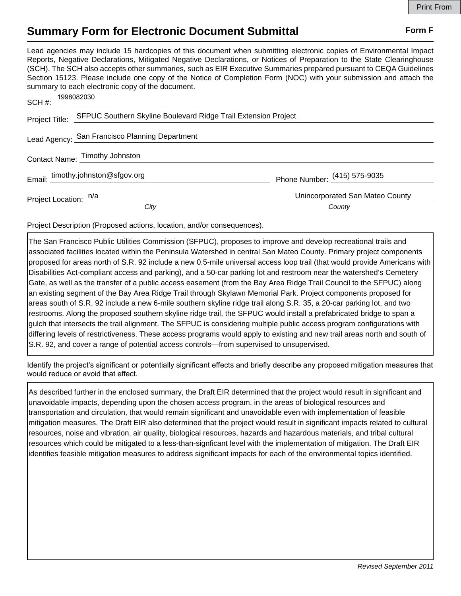## **Summary Form for Electronic Document Submittal Form F Form F**

Lead agencies may include 15 hardcopies of this document when submitting electronic copies of Environmental Impact Reports, Negative Declarations, Mitigated Negative Declarations, or Notices of Preparation to the State Clearinghouse (SCH). The SCH also accepts other summaries, such as EIR Executive Summaries prepared pursuant to CEQA Guidelines Section 15123. Please include one copy of the Notice of Completion Form (NOC) with your submission and attach the summary to each electronic copy of the document.

| 1998082030<br>SCH#:                                                                                                                                                                                                                                                                                                                                                                                                                                                                                                                                                                                                                                                                                                                                                                                                                                                                                                                                                                                                                                                                                                                                                                                                                                                                                                                      |                                 |
|------------------------------------------------------------------------------------------------------------------------------------------------------------------------------------------------------------------------------------------------------------------------------------------------------------------------------------------------------------------------------------------------------------------------------------------------------------------------------------------------------------------------------------------------------------------------------------------------------------------------------------------------------------------------------------------------------------------------------------------------------------------------------------------------------------------------------------------------------------------------------------------------------------------------------------------------------------------------------------------------------------------------------------------------------------------------------------------------------------------------------------------------------------------------------------------------------------------------------------------------------------------------------------------------------------------------------------------|---------------------------------|
| Project Title: SFPUC Southern Skyline Boulevard Ridge Trail Extension Project                                                                                                                                                                                                                                                                                                                                                                                                                                                                                                                                                                                                                                                                                                                                                                                                                                                                                                                                                                                                                                                                                                                                                                                                                                                            |                                 |
| Lead Agency: San Francisco Planning Department                                                                                                                                                                                                                                                                                                                                                                                                                                                                                                                                                                                                                                                                                                                                                                                                                                                                                                                                                                                                                                                                                                                                                                                                                                                                                           |                                 |
| Contact Name: Timothy Johnston                                                                                                                                                                                                                                                                                                                                                                                                                                                                                                                                                                                                                                                                                                                                                                                                                                                                                                                                                                                                                                                                                                                                                                                                                                                                                                           |                                 |
| Email: timothy.johnston@sfgov.org                                                                                                                                                                                                                                                                                                                                                                                                                                                                                                                                                                                                                                                                                                                                                                                                                                                                                                                                                                                                                                                                                                                                                                                                                                                                                                        | Phone Number: (415) 575-9035    |
| Project Location: n/a                                                                                                                                                                                                                                                                                                                                                                                                                                                                                                                                                                                                                                                                                                                                                                                                                                                                                                                                                                                                                                                                                                                                                                                                                                                                                                                    | Unincorporated San Mateo County |
| City                                                                                                                                                                                                                                                                                                                                                                                                                                                                                                                                                                                                                                                                                                                                                                                                                                                                                                                                                                                                                                                                                                                                                                                                                                                                                                                                     | County                          |
| Project Description (Proposed actions, location, and/or consequences).                                                                                                                                                                                                                                                                                                                                                                                                                                                                                                                                                                                                                                                                                                                                                                                                                                                                                                                                                                                                                                                                                                                                                                                                                                                                   |                                 |
| The San Francisco Public Utilities Commission (SFPUC), proposes to improve and develop recreational trails and<br>associated facilities located within the Peninsula Watershed in central San Mateo County. Primary project components<br>proposed for areas north of S.R. 92 include a new 0.5-mile universal access loop trail (that would provide Americans with<br>Disabilities Act-compliant access and parking), and a 50-car parking lot and restroom near the watershed's Cemetery<br>Gate, as well as the transfer of a public access easement (from the Bay Area Ridge Trail Council to the SFPUC) along<br>an existing segment of the Bay Area Ridge Trail through Skylawn Memorial Park. Project components proposed for<br>areas south of S.R. 92 include a new 6-mile southern skyline ridge trail along S.R. 35, a 20-car parking lot, and two<br>restrooms. Along the proposed southern skyline ridge trail, the SFPUC would install a prefabricated bridge to span a<br>gulch that intersects the trail alignment. The SFPUC is considering multiple public access program configurations with<br>differing levels of restrictiveness. These access programs would apply to existing and new trail areas north and south of<br>S.R. 92, and cover a range of potential access controls—from supervised to unsupervised. |                                 |

Identify the project's significant or potentially significant effects and briefly describe any proposed mitigation measures that would reduce or avoid that effect.

As described further in the enclosed summary, the Draft EIR determined that the project would result in significant and unavoidable impacts, depending upon the chosen access program, in the areas of biological resources and transportation and circulation, that would remain significant and unavoidable even with implementation of feasible mitigation measures. The Draft EIR also determined that the project would result in significant impacts related to cultural resources, noise and vibration, air quality, biological resources, hazards and hazardous materials, and tribal cultural resources which could be mitigated to a less-than-signficant level with the implementation of mitigation. The Draft EIR identifies feasible mitigation measures to address significant impacts for each of the environmental topics identified.